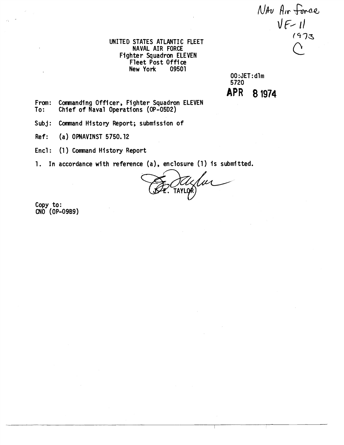NAU Air force  $V_{F-11}$ 

UNITED STATES ATLANTIC FLEET NAVAL AIR FORCE Fighter Squadron ELEVEN Fleet Post Office<br>New York 09501 New York

00 :JET: dlm 5720 **APR 8 1974** 

From: Commanding Officer, Fighter Squadron ELEVEN<br>To: Chief of Naval Operations (OP-05D2) Chief of Naval Operations (OP-05D2)

Subj: Command History Report; submission of

Ref: (a) OPNAVINST 5750.12

Encl: (1) Command History Report

1. In accordance with reference (a), enclosure (1) is submitted.

lm TAYLOR

Copy to: CNO (OP-09B9)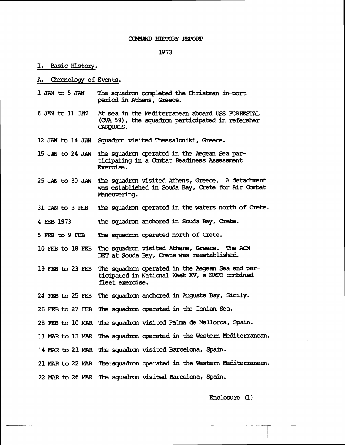#### COMMAND HISTORY REPORT

### 1973

## I. Basic Historv.

Chronology of Events. А.

- 1 JM to 5 JAN **The** squaw ccmpleted the Christman **in-port**  period in Athens, Greece.
- 6 JAN to 11 JZN At sea in the Mediterranean **aboard USS** FDRlESTAt (CVA 59), the squadron participated in refersher CAROUALS.
- 12 JAN to 14 JAN Squadron visited Thessaloniki, Greece.
- 15 JAN to 24 JAN The squadron operated in the Aegean Sea participating in a Combat Readiness Assessment Exercise.
- 25 JAN to 30 JAN The squadron visited Athens, Greece. A detachment **was** established in **Sou%** Bay, **Creb** for Air Cabat Maneuvering.
- 31 JAN to 3 FEB The squadron operated in the waters north of Crete.
- 4 **FEB** 1973 The squadron anchored in **Souda** Ray, **Qeb** .
- 5 **FEB** to 9 **FEB** The squadron operated north of Crete.
- <sup>10</sup>**FEB** to 18 **FEB** The squadrm visited **mns,** Greeae. Tlae **<sup>2404</sup>** DET at Souda Bay, Crete was reestablished.
- 19 **FEB to** 23 **I;EB** squadmn qerated in th **wan** Sea **and par**  ticipated in National Week XV, a NATO combined fleet **exercise.**
- 24 FEB to 25 FEB The squadron anchored in Augusta Bay, Sicily.
- 26 FEB to 27 FEB The squadron operated in the Ionian Sea.
- 28 F'5 to 10 MAR The squadnm visited **Palma de** Mallorca, **Spain.**
- 11 MAR to 13 MAR The squadron operated in the Western Mediterranean.
- 14 MAR to 21 MAR The squadron visited Barcelona, Spain.
- 21 MAR to 22 MAR The squadron operated in the Western Mediterranean.
- <sup>22</sup>*MAR* **to** 26 **MAR W squadrcn** visited Ewaelcna, **Spain.**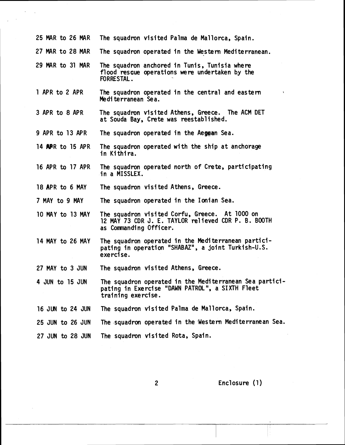| 25 MAR to 26 MAR | The squadron visited Palma de Mallorca, Spain.                                                                                   |
|------------------|----------------------------------------------------------------------------------------------------------------------------------|
| 27 MAR to 28 MAR | The squadron operated in the Western Mediterranean.                                                                              |
| 29 MAR to 31 MAR | The squadron anchored in Tunis, Tunisia where<br>flood rescue operations were undertaken by the<br>FORRESTAL.                    |
| 1 APR to 2 APR   | The squadron operated in the central and eastern<br>Mediterranean Sea.                                                           |
| 3 APR to 8 APR   | The squadron visited Athens, Greece. The ACM DET<br>at Souda Bay, Crete was reestablished.                                       |
| 9 APR to 13 APR  | The squadron operated in the Aegean Sea.                                                                                         |
| 14 APR to 15 APR | The squadron operated with the ship at anchorage<br>in Kithira.                                                                  |
| 16 APR to 17 APR | The squadron operated north of Crete, participating<br>in a MISSLEX.                                                             |
| 18 APR to 6 MAY  | The squadron visited Athens, Greece.                                                                                             |
| 7 MAY to 9 MAY   | The squadron operated in the Ionian Sea.                                                                                         |
| 10 MAY to 13 MAY | The squadron visited Corfu, Greece. At 1000 on<br>12 MAY 73 CDR J. E. TAYLOR relieved CDR P. B. BOOTH<br>as Commanding Officer.  |
| 14 MAY to 26 MAY | The squadron operated in the Mediterranean partici-<br>pating in operation "SHABAZ", a joint Turkish-U.S.<br>exercise.           |
| 27 MAY to 3 JUN  | The squadron visited Athens, Greece.                                                                                             |
| 4 JUN to 15 JUN  | The squadron operated in the Mediterranean Sea partici-<br>pating in Exercise "DAWN PATROL", a SIXTH Fleet<br>training exercise. |
| 16 JUN to 24 JUN | The squadron visited Palma de Mallorca, Spain.                                                                                   |
| 25 JUN to 26 JUN | The squadron operated in the Western Mediterranean Sea.                                                                          |
| 27 JUN to 28 JUN | The squadron visited Rota, Spain.                                                                                                |
|                  |                                                                                                                                  |

 $\overline{c}$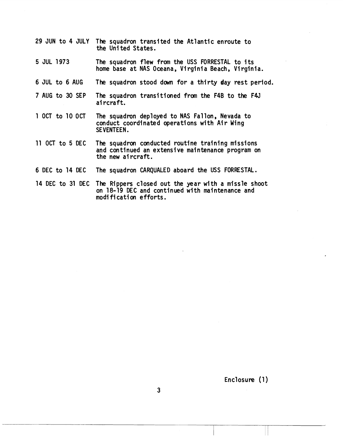- 29 JUN to 4 JULY The squadron transited the Atlantic enroute to the Uni ted States.
- 5 JUL 1973 The squadron flew from the USS FORRESTAL to its home base at NAS Oceana, Virginia Beach, Virginia.
- 6 JUL to 6 AUG The squadron stood down for a thirty day rest period.
- 7 AUG to 30 SEP The squadron transitioned from the F4B to the F4J aircraft.
- 1 OCT to 10 OCT The squadron deployed to NAS Fallon, Nevada to conduct coordinated operations with Air Wing SEVENTEEN.
- 11 OCT to 5 DEC The squadron conducted routine training missions and continued an extensive maintenance program on the new aircraft.
- 6 DEC to 14 DEC The squadron CARQUALED aboard the USS FORRESTAL.
- 14 DEC to 31 DEC The Rippers closed out the year with a missle shoot on 18-19 DEC and continued with maintenance and modi fi cation efforts.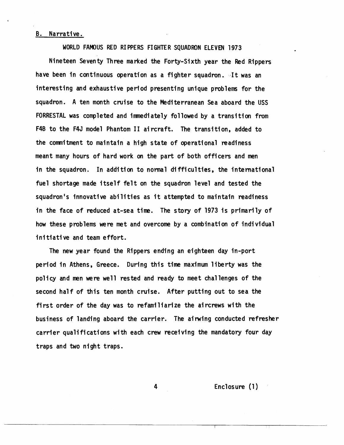# B. Narrative.

WORLD FAMOUS RED RI PPERS FIGHTER SQUADRON ELEVEN 1973

Nineteen Seventy Three marked the Forty-Sixth year the Red Rippers have been in continuous operation as a fighter squadron. It was an interesting and exhaustive period presenting unique problems for the squadron. A ten month cruise to the Mediterranean Sea aboard the USS FORRESTAL was completed and immediately followed by a transition from F4B to the F4J model Phantom I1 aircraft. The transition, added to the commitment to maintain a high state of werational readiness meant many hours of hard work on the part of both officers and men in the squadron. In addition to normal difficulties, the international fuel shortage made itself felt on the squadron level and tested the squadron's innovative abilities as it attempted to maintain readiness in the face of reduced at-sea time. The story of 1973 is primarily of how these problems were met and overcome by a combination of individual initiative and team effort.

The new year found the Rippers ending an eighteen day in-port period in Athens, Greece. During this time maximum 1 iberty was the policy and men were well rested and ready to meet challenges of the second half of this ten month cruise. After putting out to sea the first order of the day was to refamiliarize the aircrews with the business of landing aboard the carrier. The airwing conducted refresher carrier qualifications with each crew receiving the mandatory four day traps and two night traps.

Enclosure (1)

4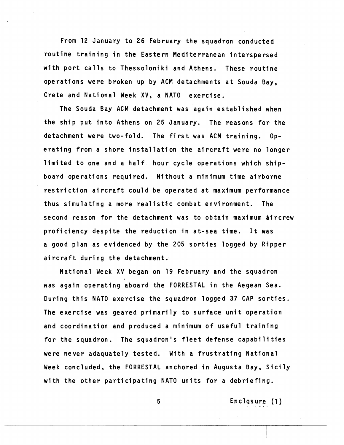From 12 January to 26 February the squadron conducted routine training in the Eastern Mediterranean interspersed with port calls to Thessoloniki and Athens. These routine operations were broken up by ACM detachments at Souda Bay, Crete and National Week XV, a NATO exercise.

The Souda Bay ACM detachment was again established when the ship put into Athens on 25 January. The reasons for the detachment were two-fold. The first was ACM training. Operating from a shore installation the aircraft were no longer limited to one and a half hour cycle operations which shipboard operations required. Without a minimum time airborne restriction aircraft could be operated at maximum performance thus simulating a more realistic combat environment. The second reason for the detachment was to obtain maximum aircrew proficiency despite the reduction in at-sea time. It was a good plan as evidenced by the 205 sorties logged by Ripper aircraft during the detachment.

National Week XV began on 19 February and the squadron was again operating aboard the FORRESTAL in the Aegean Sea. During this NATO exercise the squadron logged 37 CAP sorties. The exercise was geared primarily to surface unit operation and coordination and produced a minimum of useful training for the squadron. The squadron's fleet defense capabilities were never adaquately tested. With a frustrating National Week concluded, the FORRESTAL anchored in Augusta Bay, Sicily with the other participating NATO units for a debriefing.

Enclosure (1)

5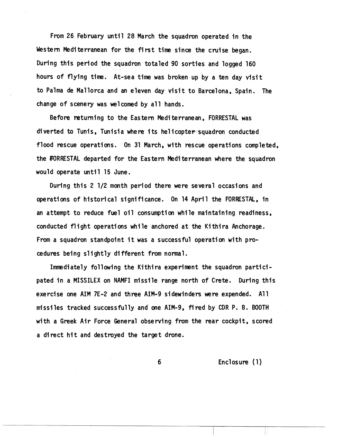From 26 February until 28 March the squadron operated in the Western Mediterranean for the first time since the cruise began. During this period the squadron totaled 90 sorties and logged 160 hours of flying time. At-sea time was broken up by a ten day visit to Palma de Mallorca and an eleven day visit to Barcelona, Spain. The change of scenery was welcomed by all hands.

Before returning to the Eastern Mediterranean, FORRESTAL was diverted to Tunis, Tunisia where its he1 icaptev squadron conducted flood rescue operations. On 31 March, with rescue operations completed, the FORRESTAL departed for the Eastern Mediterranean where the squadron would operate until 15 June.

During this 2 1/2 month period there ware several occasions and operations of historical significance. On 14 April the FORRESTAL, in an attempt to reduce fuel oil consumption while maintaining readiness, conducted flight operations while anchored at the Kithira Anchorage. From a squadron standpoint it was a successful operation with procedures being slightly different from normal.

Immediately following the Kithira experiment the squadron participated in a MISSILEX on NAMFI missile range north of Crete. During this exercise one AIM 7E-2 and three AIM-9 sidewinders were expended. All missiles tracked successfully and one AIM-9, fired by CDR P. **0.** BOOTH with a Greek Air Force General observing from the rear cockpit, scored a direct hit and destroyed the target drone.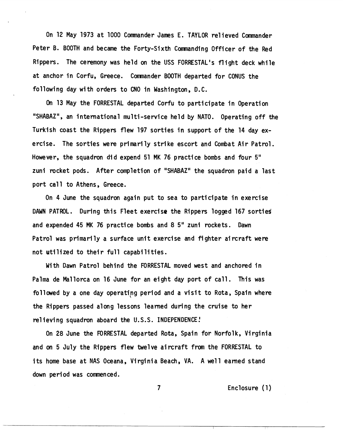On 12 May 1973 at 1000 Commander James E. TAYLOR relieved Commander Peter B. BOOTH and became the Forty-Sixth Commanding Officer of the Red Rippers. The ceremony was held on the USS FORRESTAL's flight deck while at anchor in Corfu, Greece. Comnander BOOTH departed for CONUS the following day with orders to CNO in Washington, D.C.

On 13 May the FORRESTAL departed Corfu to participate in Operation "SHABAZ", an international multi-service held by NATO. Operating off the Turkish coast the Rippers flew 197 sorties in support of the 14 day exercise. The sorties were primari ly strike escort and Combat Air Patrol. However, the squadron did expend 51 MK 76 practice bombs and four 5" zuni rocket pods. After completion of "SHABAZ" the squadron paid a last port call to Athens, Greece.

On 4 June the squadron again put to sea to participate in exercise DAWN PATROL. During this Fleet exercise the Rippers logged 167 sortied and expended 45 MK 76 practice bombs and 8 5" zuni rockets. Dawn Patrol was primarily a surface unit exercise and fighter aircraft were not utilized to their full capabilities.

With Dawn Patrol behind the FORRESTAL moved west and anchored in Palma de Ma1 lorca on 16 June for an eight day port of call. This was followed by a one day operating period and a visit to Rota, Spain where the Rippers passed along lessons learned duving the cruise to her relieving squadron aboard the U.S.S. INDEPENDENCE!

On 28 June the FORRESTAL departed Rota, Spain for Norfolk, Virginia and on 5 July the Rippers flew twelve aircraft from the FORRESTAL to its home base at NAS Oceana, Virginia Beach, VA. A well earned stand down period was commenced.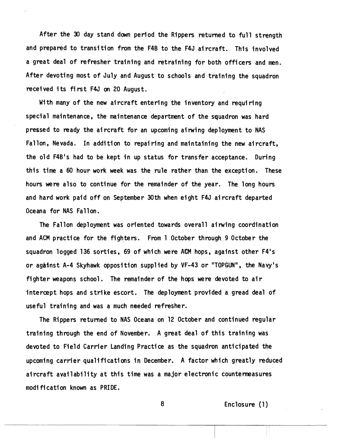After the 30 day stand down period the Rippers returned to full strength and prepared to transition from the F4B to the F4J aircraft. This involved a great deal of refresher training and retraining for both officers and men. After devoting most of July and August to schools and training the squadron recei ved i ts fi rs t F4J **on** 20 August .

With many of the new aircraft entering the inventory and requiring special maintenance, the maintenance department of the squadron was hard pressed to ready the aircraft for an upcoming airwing deployment to NAS Fallon, Nevada. In addition to repairing and maintaining the new aircraft, the old F4B's had to be kept in up status for transfer acceptance. During this time a 60 hour work week was the rule rather than the exception. These hours were also to continue for the remainder of the year. The long hours and hard work paid off on September 30th when eight F4J aircraft departed Oceana for NAS Fallon.

The Fallon deployment was oriented towards overall airwing coordination and ACM practice for the fighters. From 1 October through 9 October the squadron logged 136 sorties, 69 of which were **ACM** hops, against other F4's or against A-4 Skyhawk opposition supplied by VF-43 or "TOPGUN", the Navy's fighter weapons school. The remainder of the hops were devoted to air intercept hops and strike escort. The deployment provided a gread deal of useful training and was a much needed refresher.

The Rippers returned to NAS Oceana on 12 October and continued regular training through the end of November. A great deal of this training was devoted to Field Carrier Landing Practice as the squadron anticipated the upcoming carrier qualifications in December. A factor which greatly reduced aircraft availability at this time was a major electronic countemasures modi fi cati on known as PRIDE .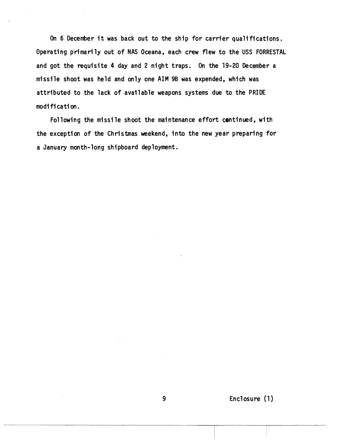On 6 December it was back out to the ship for carrier qualifications. Operating primarily out of NAS Oceana, each crew flew to the USS FORRESTAL and got the requisite 4 day and 2 night traps. On the 19-20 December a missile shoot was held and only one AIM 9B was expended, which was attributed to the lack of available weapons systems due to the PRIDE modi fi ca ti on.

Following the missile shoot the maintenance effort continued, with the exception of the Christmas weekend, into the new year preparing for a January month-long shipboard deployment.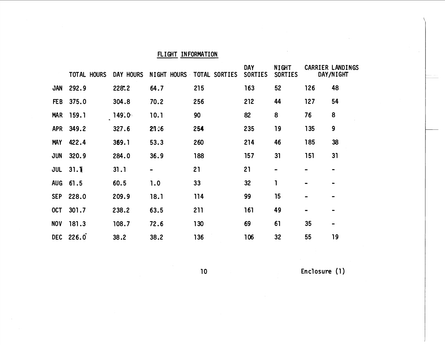# **FLIGHT IN FORMATION**

|            | TOTAL HOURS | DAY HOURS |                              | NIGHT HOURS TOTAL SORTIES | <b>DAY</b><br><b>SORTIES</b> | <b>NIGHT</b><br><b>SORTIES</b>                                                                                                                    |           | <b>CARRIER LANDINGS</b><br>DAY/NIGHT |
|------------|-------------|-----------|------------------------------|---------------------------|------------------------------|---------------------------------------------------------------------------------------------------------------------------------------------------|-----------|--------------------------------------|
| JAN        | 292.9       | 228.2     | 64.7                         | 215                       | 163                          | 52                                                                                                                                                | 126       | 48                                   |
| FE B       | 375.0       | 304.8     | 70.2                         | 256                       | 212                          | 44                                                                                                                                                | 127       | 54                                   |
| <b>MAR</b> | 159.1       | 149.0     | 10.1                         | 90                        | 82                           | 8                                                                                                                                                 | 76        | 8                                    |
| <b>APR</b> | 349.2       | 327.6     | 2146                         | 254                       | 235                          | 19                                                                                                                                                | 135       | 9                                    |
| <b>MAY</b> | 422.4       | 369.1     | 53.3                         | 260                       | 214                          | 46                                                                                                                                                | 185       | 38                                   |
| JUN        | 320.9       | 284.0     | 36.9                         | 188                       | 157                          | 31                                                                                                                                                | 151       | 31                                   |
| JUL        | 31.1        | 31.1      | $\qquad \qquad \blacksquare$ | 21                        | 21                           | $\hskip1.6pt\hskip1.6pt\hskip1.6pt\hskip1.6pt\hskip1.6pt\hskip1.6pt\hskip1.6pt\hskip1.6pt\hskip1.6pt\hskip1.6pt\hskip1.6pt\hskip1.6pt\hskip1.6pt$ | $\bullet$ |                                      |
| <b>AUG</b> | 61.5        | 60.5      | 1.0                          | 33                        | 32                           | 1                                                                                                                                                 |           | $\blacksquare$                       |
| <b>SEP</b> | 228.0       | 209.9     | 18.1                         | 114                       | 99                           | 15                                                                                                                                                |           |                                      |
| OCT        | 301.7       | 238.2     | 63.5                         | 211                       | 161                          | 49                                                                                                                                                |           | $\blacksquare$                       |
| <b>NOV</b> | 181.3       | 108.7     | 72.6                         | 130                       | 69                           | 61                                                                                                                                                | 35        | $\qquad \qquad \blacksquare$         |
| <b>DEC</b> | 226.0       | 38.2      | 38.2                         | 136                       | 106                          | 32                                                                                                                                                | 55        | 19                                   |

 $10$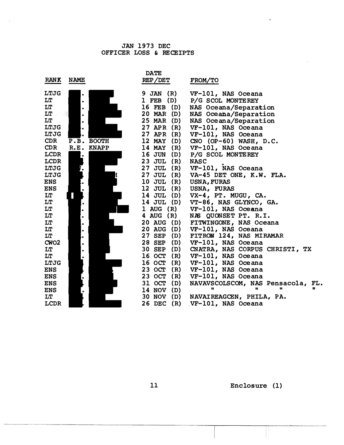## JAN 1973 DEC OFFICER LOSS & RECEIPTS

| <b>DATE</b><br><b>RANK</b><br><b>NAME</b><br>REP/DET<br>FROM/TO<br>LTJG<br>9 JAN (R)<br>VF-101, NAS Oceana<br>$\bullet$<br>$l$ FEB $(D)$<br>LT<br>P/G SCOL MONTEREY<br>LT<br>16 FEB<br>(D)<br>NAS Oceana/Separation<br>LT<br>蕊<br>20 MAR (D)<br>NAS Oceana/Separation<br>$\bullet$<br>LT<br>25 MAR (D)<br>NAS Oceana/Separation<br>$\bullet$<br>LTJG<br>27 APR (R)<br>VF-101, NAS Oceana<br>$\bullet$<br>LTJG<br>27 APR (R)<br>VF-101, NAS Oceana<br><b>CDR</b><br>P.B. BOOTH<br>12 MAY<br>(D)<br>$CNO (OP-60) WASH, D.C.$<br>VF-101, NAS Oceana<br><b>CDR</b><br>R.E. KNAPP<br>14 MAY (R)<br><b>LCDR</b><br>16 JUN (D)<br>P/G SCOL MONTEREY<br>ŀ٠<br><b>LCDR</b><br>23 JUL<br>(R)<br><b>NASC</b><br>LTJG<br><b>27 JUL</b><br>(R) VF-101, NAS Oceana<br>27 JUL (R) VA-45 DET ONE, K.W. FLA.<br>LTJG<br>$10$ JUL $(R)$<br><b>ENS</b><br><b>USNA, FURAS</b><br>12 JUL $(R)$<br><b>ENS</b><br><b>USNA, FURAS</b><br>14 JUL (D) VX-4, PT. MUGU, CA.<br>LT<br>14 JUL (D) VT-86, NAS GLYNCO, GA.<br>LT<br>$\bullet$<br>LT<br>$1 \text{ AUG} (\text{R})$<br>VF-101, NAS Oceana<br>$\bullet$<br>LT<br>4 AUG (R)<br>NAS QUONSET PT. R.I.<br>$\bullet$<br>LT<br>20 AUG (D)<br>FITWINGONE, NAS Oceana<br>٠<br>20 AUG (D)<br>VF-101, NAS Oceana<br>LT<br>$\bullet$<br>FITRON 124, NAS MIRAMAR<br>27 SEP (D)<br>LT<br>VF-101, NAS Oceana<br><b>28 SEP</b><br>CWO2<br>(D)<br>$\bullet$<br>30 SEP<br>(D)<br>CNATRA, NAS CORPUS CHRISTI, TX<br>LT<br><b>16 OCT</b><br>VF-101, NAS Oceana<br>LT<br>(R)<br>16 OCT<br>LTJG<br>(R)<br>VF-101, NAS Oceana<br>23 OCT<br>(R)<br>VF-101, NAS Oceana<br><b>ENS</b><br>23 OCT (R)<br>VF-101, NAS Oceana<br><b>ENS</b><br>31 OCT<br>NAVAVSCOLSCOM, NAS Pensacola,<br>(D)<br><b>ENS</b><br>FL.<br>n<br>14 NOV (D)<br><b>ENS</b> | <b>JAN 1973 DEC</b><br>OFFICER LOSS & RECEIPTS |  |  |  |  |  |  |  |
|-----------------------------------------------------------------------------------------------------------------------------------------------------------------------------------------------------------------------------------------------------------------------------------------------------------------------------------------------------------------------------------------------------------------------------------------------------------------------------------------------------------------------------------------------------------------------------------------------------------------------------------------------------------------------------------------------------------------------------------------------------------------------------------------------------------------------------------------------------------------------------------------------------------------------------------------------------------------------------------------------------------------------------------------------------------------------------------------------------------------------------------------------------------------------------------------------------------------------------------------------------------------------------------------------------------------------------------------------------------------------------------------------------------------------------------------------------------------------------------------------------------------------------------------------------------------------------------------------------------------------------------------------------------------------------------------------------------------------------------------------------|------------------------------------------------|--|--|--|--|--|--|--|
|                                                                                                                                                                                                                                                                                                                                                                                                                                                                                                                                                                                                                                                                                                                                                                                                                                                                                                                                                                                                                                                                                                                                                                                                                                                                                                                                                                                                                                                                                                                                                                                                                                                                                                                                                     |                                                |  |  |  |  |  |  |  |
| 30 NOV (D)<br>LT<br>NAVAIREAGCEN, PHILA, PA.<br>LCDR<br>26 DEC<br>(R)<br>VF-101, NAS Oceana                                                                                                                                                                                                                                                                                                                                                                                                                                                                                                                                                                                                                                                                                                                                                                                                                                                                                                                                                                                                                                                                                                                                                                                                                                                                                                                                                                                                                                                                                                                                                                                                                                                         |                                                |  |  |  |  |  |  |  |

Enclosure (1)

 $11$